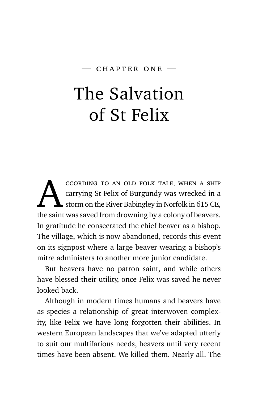#### $CHAPTERONE =$

# The Salvation of St Felix

CORDING TO AN OLD FOLK TALE, WHEN A SHIP<br>carrying St Felix of Burgundy was wrecked in a<br>storm on the River Babingley in Norfolk in 615 CE,<br>the saint was saved from drowning by a colony of beavers carrying St Felix of Burgundy was wrecked in a storm on the River Babingley in Norfolk in 615 CE, the saint was saved from drowning by a colony of beavers. In gratitude he consecrated the chief beaver as a bishop. The village, which is now abandoned, records this event on its signpost where a large beaver wearing a bishop's mitre administers to another more junior candidate.

But beavers have no patron saint, and while others have blessed their utility, once Felix was saved he never looked back.

Although in modern times humans and beavers have as species a relationship of great interwoven complexity, like Felix we have long forgotten their abilities. In western European landscapes that we've adapted utterly to suit our multifarious needs, beavers until very recent times have been absent. We killed them. Nearly all. The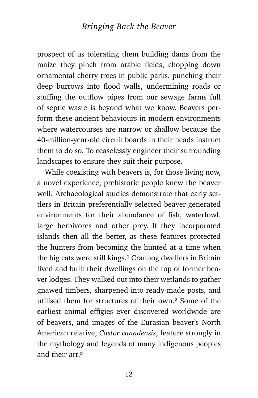prospect of us tolerating them building dams from the maize they pinch from arable fields, chopping down ornamental cherry trees in public parks, punching their deep burrows into flood walls, undermining roads or stuffing the outflow pipes from our sewage farms full of septic waste is beyond what we know. Beavers perform these ancient behaviours in modern environments where watercourses are narrow or shallow because the 40-million-year-old circuit boards in their heads instruct them to do so. To ceaselessly engineer their surrounding landscapes to ensure they suit their purpose.

While coexisting with beavers is, for those living now, a novel experience, prehistoric people knew the beaver well. Archaeological studies demonstrate that early settlers in Britain preferentially selected beaver-generated environments for their abundance of fish, waterfowl, large herbivores and other prey. If they incorporated islands then all the better, as these features protected the hunters from becoming the hunted at a time when the big cats were still kings.<sup>1</sup> Crannog dwellers in Britain lived and built their dwellings on the top of former beaver lodges. They walked out into their wetlands to gather gnawed timbers, sharpened into ready-made posts, and utilised them for structures of their own.2 Some of the earliest animal effigies ever discovered worldwide are of beavers, and images of the Eurasian beaver's North American relative, *Castor canadensis*, feature strongly in the mythology and legends of many indigenous peoples and their art.3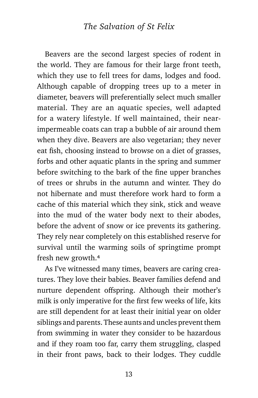Beavers are the second largest species of rodent in the world. They are famous for their large front teeth, which they use to fell trees for dams, lodges and food. Although capable of dropping trees up to a meter in diameter, beavers will preferentially select much smaller material. They are an aquatic species, well adapted for a watery lifestyle. If well maintained, their nearimpermeable coats can trap a bubble of air around them when they dive. Beavers are also vegetarian; they never eat fish, choosing instead to browse on a diet of grasses, forbs and other aquatic plants in the spring and summer before switching to the bark of the fine upper branches of trees or shrubs in the autumn and winter. They do not hibernate and must therefore work hard to form a cache of this material which they sink, stick and weave into the mud of the water body next to their abodes, before the advent of snow or ice prevents its gathering. They rely near completely on this established reserve for survival until the warming soils of springtime prompt fresh new growth.<sup>4</sup>

As I've witnessed many times, beavers are caring creatures. They love their babies. Beaver families defend and nurture dependent offspring. Although their mother's milk is only imperative for the first few weeks of life, kits are still dependent for at least their initial year on older siblings and parents. These aunts and uncles prevent them from swimming in water they consider to be hazardous and if they roam too far, carry them struggling, clasped in their front paws, back to their lodges. They cuddle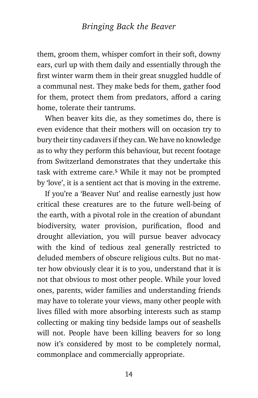them, groom them, whisper comfort in their soft, downy ears, curl up with them daily and essentially through the first winter warm them in their great snuggled huddle of a communal nest. They make beds for them, gather food for them, protect them from predators, afford a caring home, tolerate their tantrums.

When beaver kits die, as they sometimes do, there is even evidence that their mothers will on occasion try to bury their tiny cadavers if they can. We have no knowledge as to why they perform this behaviour, but recent footage from Switzerland demonstrates that they undertake this task with extreme care.<sup>5</sup> While it may not be prompted by 'love', it is a sentient act that is moving in the extreme.

If you're a 'Beaver Nut' and realise earnestly just how critical these creatures are to the future well-being of the earth, with a pivotal role in the creation of abundant biodiversity, water provision, purification, flood and drought alleviation, you will pursue beaver advocacy with the kind of tedious zeal generally restricted to deluded members of obscure religious cults. But no matter how obviously clear it is to you, understand that it is not that obvious to most other people. While your loved ones, parents, wider families and understanding friends may have to tolerate your views, many other people with lives filled with more absorbing interests such as stamp collecting or making tiny bedside lamps out of seashells will not. People have been killing beavers for so long now it's considered by most to be completely normal, commonplace and commercially appropriate.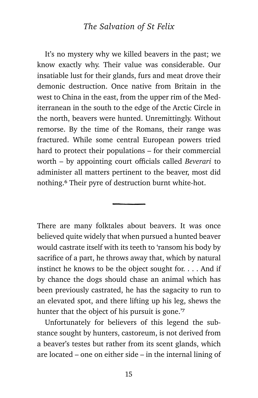It's no mystery why we killed beavers in the past; we know exactly why. Their value was considerable. Our insatiable lust for their glands, furs and meat drove their demonic destruction. Once native from Britain in the west to China in the east, from the upper rim of the Mediterranean in the south to the edge of the Arctic Circle in the north, beavers were hunted. Unremittingly. Without remorse. By the time of the Romans, their range was fractured. While some central European powers tried hard to protect their populations – for their commercial worth - by appointing court officials called Beverari to administer all matters pertinent to the beaver, most did nothing.<br>
Find Their pyre of destruction burnt white-hot.

There are many folktales about beavers. It was once believed quite widely that when pursued a hunted beaver would castrate itself with its teeth to 'ransom his body by sacrifice of a part, he throws away that, which by natural instinct he knows to be the object sought for  $\dots$  And if by chance the dogs should chase an animal which has been previously castrated, he has the sagacity to run to an elevated spot, and there lifting up his leg, shews the hunter that the object of his pursuit is gone.'7

Unfortunately for believers of this legend the substance sought by hunters, castoreum, is not derived from a beaver's testes but rather from its scent glands, which are located – one on either side – in the internal lining of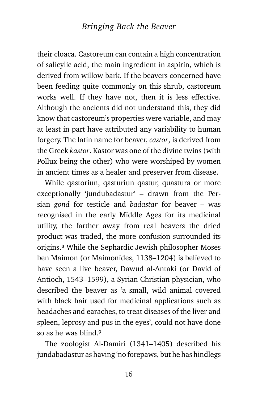their cloaca. Castoreum can contain a high concentration of salicylic acid, the main ingredient in aspirin, which is derived from willow bark. If the beavers concerned have been feeding quite commonly on this shrub, castoreum works well. If they have not, then it is less effective. Although the ancients did not understand this, they did know that castoreum's properties were variable, and may at least in part have attributed any variability to human forgery. The latin name for beaver, *castor*, is derived from the Greek *kastor*. Kastor was one of the divine twins (with Pollux being the other) who were worshiped by women in ancient times as a healer and preserver from disease.

While qastoriun, qasturiun qastur, quastura or more exceptionally 'jundubadastur'  $-$  drawn from the Persian *gond* for testicle and *badastar* for beaver – was recognised in the early Middle Ages for its medicinal utility, the farther away from real beavers the dried product was traded, the more confusion surrounded its origins.<sup>8</sup> While the Sephardic Jewish philosopher Moses ben Maimon (or Maimonides, 1138–1204) is believed to have seen a live beaver, Dawud al-Antaki (or David of Antioch, 1543-1599), a Syrian Christian physician, who described the beaver as 'a small, wild animal covered with black hair used for medicinal applications such as headaches and earaches, to treat diseases of the liver and spleen, leprosy and pus in the eyes', could not have done so as he was blind.<sup>9</sup>

The zoologist Al-Damiri (1341–1405) described his jundabadastur as having 'no forepaws, but he has hindlegs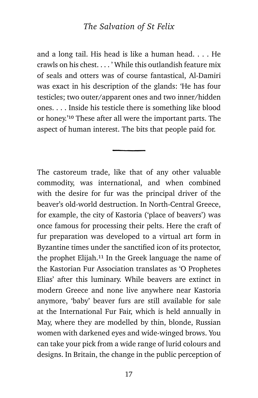and a long tail. His head is like a human head. . . . He crawls on his chest....' While this outlandish feature mix of seals and otters was of course fantastical, Al-Damiri was exact in his description of the glands: 'He has four testicles; two outer/apparent ones and two inner/hidden ones. . . . Inside his testicle there is something like blood or honey.'<sup>10</sup> These after all were the important parts. The aspect of human interest. The bits that people paid for.

The castoreum trade, like that of any other valuable commodity, was international, and when combined with the desire for fur was the principal driver of the beaver's old-world destruction. In North-Central Greece, for example, the city of Kastoria ('place of beavers') was once famous for processing their pelts. Here the craft of fur preparation was developed to a virtual art form in Byzantine times under the sanctified icon of its protector, the prophet Elijah.<sup>11</sup> In the Greek language the name of the Kastorian Fur Association translates as 'O Prophetes Elias' after this luminary. While beavers are extinct in modern Greece and none live anywhere near Kastoria anymore, 'baby' beaver furs are still available for sale at the International Fur Fair, which is held annually in May, where they are modelled by thin, blonde, Russian women with darkened eyes and wide-winged brows. You can take your pick from a wide range of lurid colours and designs. In Britain, the change in the public perception of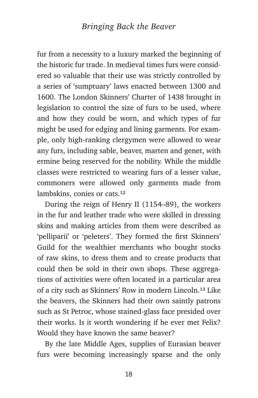fur from a necessity to a luxury marked the beginning of the historic fur trade. In medieval times furs were considered so valuable that their use was strictly controlled by a series of 'sumptuary' laws enacted between 1300 and 1600. The London Skinners' Charter of 1438 brought in legislation to control the size of furs to be used, where and how they could be worn, and which types of fur might be used for edging and lining garments. For example, only high-ranking clergymen were allowed to wear any furs, including sable, beaver, marten and genet, with ermine being reserved for the nobility. While the middle classes were restricted to wearing furs of a lesser value, commoners were allowed only garments made from lambskins, conies or cats.12

During the reign of Henry II (1154–89), the workers in the fur and leather trade who were skilled in dressing skins and making articles from them were described as 'pelliparii' or 'peleters'. They formed the first Skinners' Guild for the wealthier merchants who bought stocks of raw skins, to dress them and to create products that could then be sold in their own shops. These aggregations of activities were often located in a particular area of a city such as Skinners' Row in modern Lincoln.13 Like the beavers, the Skinners had their own saintly patrons such as St Petroc, whose stained-glass face presided over their works. Is it worth wondering if he ever met Felix? Would they have known the same beaver?

By the late Middle Ages, supplies of Eurasian beaver furs were becoming increasingly sparse and the only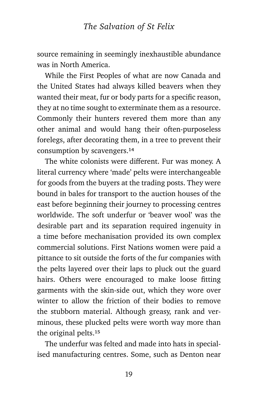source remaining in seemingly inexhaustible abundance was in North America.

While the First Peoples of what are now Canada and the United States had always killed beavers when they wanted their meat, fur or body parts for a specific reason, they at no time sought to exterminate them as a resource. Commonly their hunters revered them more than any other animal and would hang their often-purposeless forelegs, after decorating them, in a tree to prevent their consumption by scavengers.<sup>14</sup>

The white colonists were different. Fur was money. A literal currency where 'made' pelts were interchangeable for goods from the buyers at the trading posts. They were bound in bales for transport to the auction houses of the east before beginning their journey to processing centres worldwide. The soft underfur or 'beaver wool' was the desirable part and its separation required ingenuity in a time before mechanisation provided its own complex commercial solutions. First Nations women were paid a pittance to sit outside the forts of the fur companies with the pelts layered over their laps to pluck out the guard hairs. Others were encouraged to make loose fitting garments with the skin-side out, which they wore over winter to allow the friction of their bodies to remove the stubborn material. Although greasy, rank and verminous, these plucked pelts were worth way more than the original pelts.<sup>15</sup>

The underfur was felted and made into hats in specialised manufacturing centres. Some, such as Denton near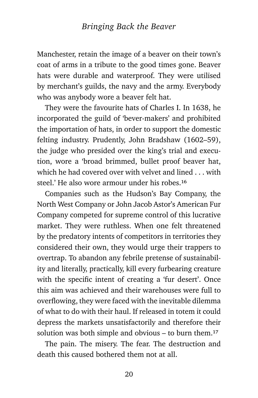Manchester, retain the image of a beaver on their town's coat of arms in a tribute to the good times gone. Beaver hats were durable and waterproof. They were utilised by merchant's guilds, the navy and the army. Everybody who was anybody wore a beaver felt hat.

They were the favourite hats of Charles I. In 1638, he incorporated the guild of 'bever-makers' and prohibited the importation of hats, in order to support the domestic felting industry. Prudently, John Bradshaw (1602-59), the judge who presided over the king's trial and execution, wore a 'broad brimmed, bullet proof beaver hat, which he had covered over with velvet and lined . . . with steel.' He also wore armour under his robes. $16$ 

Companies such as the Hudson's Bay Company, the North West Company or John Jacob Astor's American Fur Company competed for supreme control of this lucrative market. They were ruthless. When one felt threatened by the predatory intents of competitors in territories they considered their own, they would urge their trappers to overtrap. To abandon any febrile pretense of sustainability and literally, practically, kill every furbearing creature with the specific intent of creating a 'fur desert'. Once this aim was achieved and their warehouses were full to overflowing, they were faced with the inevitable dilemma of what to do with their haul. If released in totem it could depress the markets unsatisfactorily and therefore their solution was both simple and obvious – to burn them. $17$ 

The pain. The misery. The fear. The destruction and death this caused bothered them not at all.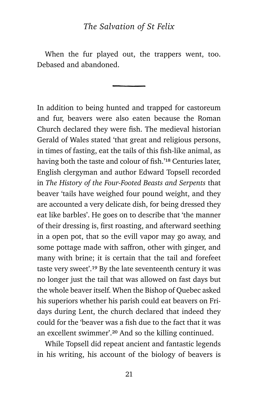When the fur played out, the trappers went, too. Debased and abandoned. In addition to being hunted and trapped for castoreum —

and fur, beavers were also eaten because the Roman Church declared they were fish. The medieval historian Gerald of Wales stated 'that great and religious persons, in times of fasting, eat the tails of this fish-like animal, as having both the taste and colour of fish.'<sup>18</sup> Centuries later, English clergyman and author Edward Topsell recorded in *The History of the Four-Footed Beasts and Serpents* that beaver 'tails have weighed four pound weight, and they are accounted a very delicate dish, for being dressed they eat like barbles'. He goes on to describe that 'the manner of their dressing is, first roasting, and afterward seething in a open pot, that so the evill vapor may go away, and some pottage made with saffron, other with ginger, and many with brine; it is certain that the tail and forefeet taste very sweet'.<sup>19</sup> By the late seventeenth century it was no longer just the tail that was allowed on fast days but the whole beaver itself. When the Bishop of Quebec asked his superiors whether his parish could eat beavers on Fridays during Lent, the church declared that indeed they could for the 'beaver was a fish due to the fact that it was an excellent swimmer'.<sup>20</sup> And so the killing continued.

While Topsell did repeat ancient and fantastic legends in his writing, his account of the biology of beavers is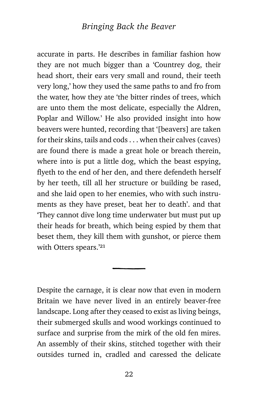accurate in parts. He describes in familiar fashion how they are not much bigger than a 'Countrey dog, their head short, their ears very small and round, their teeth very long,' how they used the same paths to and fro from the water, how they ate 'the bitter rindes of trees, which are unto them the most delicate, especially the Aldren, Poplar and Willow.' He also provided insight into how beavers were hunted, recording that '[beavers] are taken for their skins, tails and cods  $\dots$  when their calves (caves) are found there is made a great hole or breach therein, where into is put a little dog, which the beast espying, flyeth to the end of her den, and there defendeth herself by her teeth, till all her structure or building be rased, and she laid open to her enemies, who with such instruments as they have preset, beat her to death'. and that 'They cannot dive long time underwater but must put up their heads for breath, which being espied by them that beset them, they kill them with gunshot, or pierce them with Otters spears.'<sup>21</sup> Despite the carnage, it is clear now that even in modern —

Britain we have never lived in an entirely beaver-free landscape. Long after they ceased to exist as living beings, their submerged skulls and wood workings continued to surface and surprise from the mirk of the old fen mires. An assembly of their skins, stitched together with their outsides turned in, cradled and caressed the delicate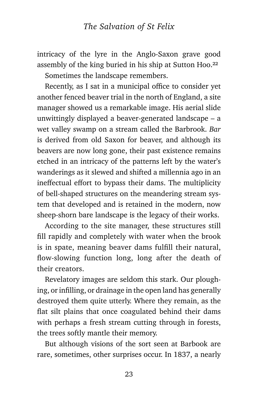intricacy of the lyre in the Anglo-Saxon grave good assembly of the king buried in his ship at Sutton Hoo.22 Sometimes the landscape remembers.

Recently, as I sat in a municipal office to consider yet another fenced beaver trial in the north of England, a site manager showed us a remarkable image. His aerial slide unwittingly displayed a beaver-generated landscape – a wet valley swamp on a stream called the Barbrook. *Bar* is derived from old Saxon for beaver, and although its beavers are now long gone, their past existence remains etched in an intricacy of the patterns left by the water's wanderings as it slewed and shifted a millennia ago in an ineffectual effort to bypass their dams. The multiplicity of bell-shaped structures on the meandering stream system that developed and is retained in the modern, now sheep-shorn bare landscape is the legacy of their works.

According to the site manager, these structures still fill rapidly and completely with water when the brook is in spate, meaning beaver dams fulfill their natural, flow-slowing function long, long after the death of their creators.

Revelatory images are seldom this stark. Our ploughing, or infilling, or drainage in the open land has generally destroyed them quite utterly. Where they remain, as the flat silt plains that once coagulated behind their dams with perhaps a fresh stream cutting through in forests, the trees softly mantle their memory.

But although visions of the sort seen at Barbook are rare, sometimes, other surprises occur. In 1837, a nearly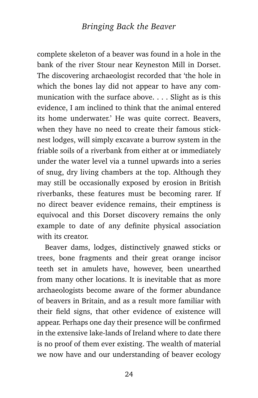complete skeleton of a beaver was found in a hole in the bank of the river Stour near Keyneston Mill in Dorset. The discovering archaeologist recorded that 'the hole in which the bones lay did not appear to have any communication with the surface above. . . . Slight as is this evidence, I am inclined to think that the animal entered its home underwater.' He was quite correct. Beavers, when they have no need to create their famous sticknest lodges, will simply excavate a burrow system in the friable soils of a riverbank from either at or immediately under the water level via a tunnel upwards into a series of snug, dry living chambers at the top. Although they may still be occasionally exposed by erosion in British riverbanks, these features must be becoming rarer. If no direct beaver evidence remains, their emptiness is equivocal and this Dorset discovery remains the only example to date of any definite physical association with its creator.

Beaver dams, lodges, distinctively gnawed sticks or trees, bone fragments and their great orange incisor teeth set in amulets have, however, been unearthed from many other locations. It is inevitable that as more archaeologists become aware of the former abundance of beavers in Britain, and as a result more familiar with their field signs, that other evidence of existence will appear. Perhaps one day their presence will be confirmed in the extensive lake-lands of Ireland where to date there is no proof of them ever existing. The wealth of material we now have and our understanding of beaver ecology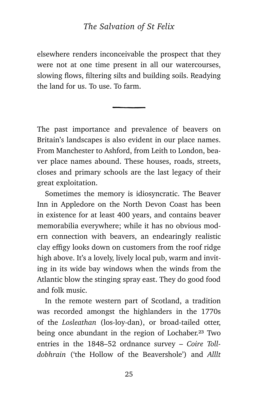elsewhere renders inconceivable the prospect that they were not at one time present in all our watercourses, slowing flows, filtering silts and building soils. Readying the land for us. To use. To farm. the land for us. To use. To farm.

Britain's landscapes is also evident in our place names. From Manchester to Ashford, from Leith to London, beaver place names abound. These houses, roads, streets, closes and primary schools are the last legacy of their great exploitation.

Sometimes the memory is idiosyncratic. The Beaver Inn in Appledore on the North Devon Coast has been in existence for at least 400 years, and contains beaver memorabilia everywhere; while it has no obvious modern connection with beavers, an endearingly realistic clay effigy looks down on customers from the roof ridge high above. It's a lovely, lively local pub, warm and inviting in its wide bay windows when the winds from the Atlantic blow the stinging spray east. They do good food and folk music.

In the remote western part of Scotland, a tradition was recorded amongst the highlanders in the 1770s of the *Losleathan* (los-loy-dan), or broad-tailed otter, being once abundant in the region of Lochaber.<sup>23</sup> Two entries in the 1848–52 ordnance survey - Coire Toll*dobhrain* ('the Hollow of the Beavershole') and Alllt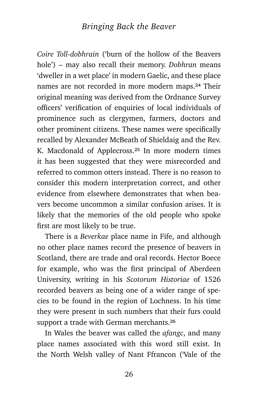*Coire Toll-dobhrain* ('burn of the hollow of the Beavers hole') - may also recall their memory. Dobhran means 'dweller in a wet place' in modern Gaelic, and these place names are not recorded in more modern maps.<sup>24</sup> Their original meaning was derived from the Ordnance Survey officers' verification of enquiries of local individuals of prominence such as clergymen, farmers, doctors and other prominent citizens. These names were specifically recalled by Alexander McBeath of Shieldaig and the Rev. K. Macdonald of Applecross.<sup>25</sup> In more modern times it has been suggested that they were misrecorded and referred to common otters instead. There is no reason to consider this modern interpretation correct, and other evidence from elsewhere demonstrates that when beavers become uncommon a similar confusion arises. It is likely that the memories of the old people who spoke first are most likely to be true.

There is a *Beverkae* place name in Fife, and although no other place names record the presence of beavers in Scotland, there are trade and oral records. Hector Boece for example, who was the first principal of Aberdeen University, writing in his *Scotorum Historiae* of 1526 recorded beavers as being one of a wider range of species to be found in the region of Lochness. In his time they were present in such numbers that their furs could support a trade with German merchants.<sup>26</sup>

In Wales the beaver was called the *afangc*, and many place names associated with this word still exist. In the North Welsh valley of Nant Ffrancon ('Vale of the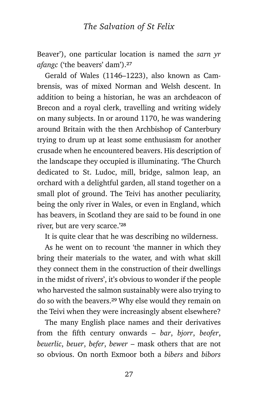Beaver'), one particular location is named the sarn yr *afangc* ('the beavers' dam').<sup>27</sup>

Gerald of Wales (1146-1223), also known as Cambrensis, was of mixed Norman and Welsh descent. In addition to being a historian, he was an archdeacon of Brecon and a royal clerk, travelling and writing widely on many subjects. In or around 1170, he was wandering around Britain with the then Archbishop of Canterbury trying to drum up at least some enthusiasm for another crusade when he encountered beavers. His description of the landscape they occupied is illuminating. 'The Church dedicated to St. Ludoc, mill, bridge, salmon leap, an orchard with a delightful garden, all stand together on a small plot of ground. The Teivi has another peculiarity, being the only river in Wales, or even in England, which has beavers, in Scotland they are said to be found in one river, but are very scarce.'<sup>28</sup>

It is quite clear that he was describing no wilderness.

As he went on to recount 'the manner in which they bring their materials to the water, and with what skill they connect them in the construction of their dwellings in the midst of rivers', it's obvious to wonder if the people who harvested the salmon sustainably were also trying to do so with the beavers.<sup>29</sup> Why else would they remain on the Teivi when they were increasingly absent elsewhere?

The many English place names and their derivatives from the fifth century onwards - bar, bjorr, beofer, *beuerlic*, *beuer*, *befer*, *bewer* – mask others that are not so obvious. On north Exmoor both a *bibers* and *bibors*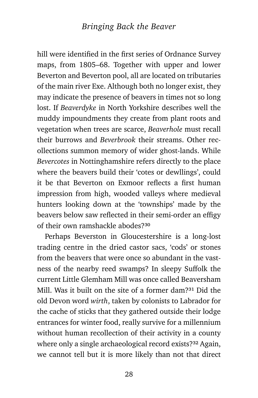hill were identified in the first series of Ordnance Survey maps, from 1805–68. Together with upper and lower Beverton and Beverton pool, all are located on tributaries of the main river Exe. Although both no longer exist, they may indicate the presence of beavers in times not so long lost. If *Beaverdyke* in North Yorkshire describes well the muddy impoundments they create from plant roots and vegetation when trees are scarce, *Beaverhole* must recall their burrows and *Beverbrook* their streams. Other recollections summon memory of wider ghost-lands. While *Bevercotes* in Nottinghamshire refers directly to the place where the beavers build their 'cotes or dewllings', could it be that Beverton on Exmoor reflects a first human impression from high, wooded valleys where medieval hunters looking down at the 'townships' made by the beavers below saw reflected in their semi-order an effigy of their own ramshackle abodes?<sup>30</sup>

Perhaps Beverston in Gloucestershire is a long-lost trading centre in the dried castor sacs, 'cods' or stones from the beavers that were once so abundant in the vastness of the nearby reed swamps? In sleepy Suffolk the current Little Glemham Mill was once called Beaversham Mill. Was it built on the site of a former dam?<sup>31</sup> Did the old Devon word *wirth*, taken by colonists to Labrador for the cache of sticks that they gathered outside their lodge entrances for winter food, really survive for a millennium without human recollection of their activity in a county where only a single archaeological record exists?<sup>32</sup> Again, we cannot tell but it is more likely than not that direct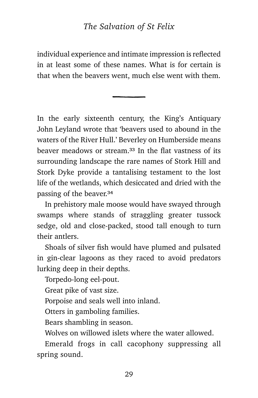individual experience and intimate impression is reflected in at least some of these names. What is for certain is that when the beavers went, much else went with them.

In the early sixteenth century, the King's Antiquary John Leyland wrote that 'beavers used to abound in the waters of the River Hull.' Beverley on Humberside means beaver meadows or stream.<sup>33</sup> In the flat vastness of its surrounding landscape the rare names of Stork Hill and Stork Dyke provide a tantalising testament to the lost life of the wetlands, which desiccated and dried with the passing of the beaver.<sup>34</sup>

In prehistory male moose would have swayed through swamps where stands of straggling greater tussock sedge, old and close-packed, stood tall enough to turn their antlers.

Shoals of silver fish would have plumed and pulsated in gin-clear lagoons as they raced to avoid predators lurking deep in their depths.

Torpedo-long eel-pout.

Great pike of vast size.

Porpoise and seals well into inland.

Otters in gamboling families.

Bears shambling in season.

Wolves on willowed islets where the water allowed.

Emerald frogs in call cacophony suppressing all spring sound.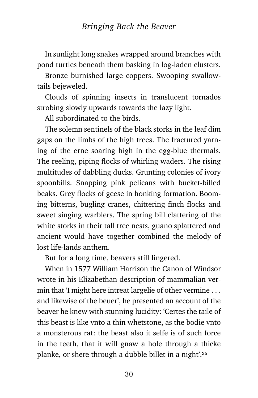In sunlight long snakes wrapped around branches with pond turtles beneath them basking in log-laden clusters.

Bronze burnished large coppers. Swooping swallowtails bejeweled.

Clouds of spinning insects in translucent tornados strobing slowly upwards towards the lazy light.

All subordinated to the birds.

The solemn sentinels of the black storks in the leaf dim gaps on the limbs of the high trees. The fractured yarning of the erne soaring high in the egg-blue thermals. The reeling, piping flocks of whirling waders. The rising multitudes of dabbling ducks. Grunting colonies of ivory spoonbills. Snapping pink pelicans with bucket-billed beaks. Grey flocks of geese in honking formation. Booming bitterns, bugling cranes, chittering finch flocks and sweet singing warblers. The spring bill clattering of the white storks in their tall tree nests, guano splattered and ancient would have together combined the melody of lost life-lands anthem.

But for a long time, beavers still lingered.

When in 1577 William Harrison the Canon of Windsor wrote in his Elizabethan description of mammalian vermin that 'I might here intreat largelie of other vermine . . . and likewise of the beuer', he presented an account of the beaver he knew with stunning lucidity: 'Certes the taile of this beast is like vnto a thin whetstone, as the bodie vnto a monsterous rat: the beast also it selfe is of such force in the teeth, that it will gnaw a hole through a thicke planke, or shere through a dubble billet in a night'.<sup>35</sup>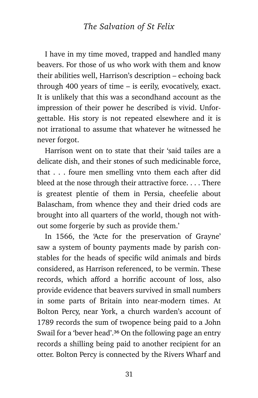I have in my time moved, trapped and handled many beavers. For those of us who work with them and know their abilities well, Harrison's description – echoing back through 400 years of time – is eerily, evocatively, exact. It is unlikely that this was a secondhand account as the impression of their power he described is vivid. Unforgettable. His story is not repeated elsewhere and it is not irrational to assume that whatever he witnessed he never forgot.

Harrison went on to state that their 'said tailes are a delicate dish, and their stones of such medicinable force, that . . . foure men smelling vnto them each after did bleed at the nose through their attractive force. . . . There is greatest plentie of them in Persia, cheefelie about Balascham, from whence they and their dried cods are brought into all quarters of the world, though not without some forgerie by such as provide them.'

In 1566, the 'Acte for the preservation of Grayne' saw a system of bounty payments made by parish constables for the heads of specific wild animals and birds considered, as Harrison referenced, to be vermin. These records, which afford a horrific account of loss, also provide evidence that beavers survived in small numbers in some parts of Britain into near-modern times. At Bolton Percy, near York, a church warden's account of 1789 records the sum of twopence being paid to a John Swail for a 'bever head'.<sup>36</sup> On the following page an entry records a shilling being paid to another recipient for an otter. Bolton Percy is connected by the Rivers Wharf and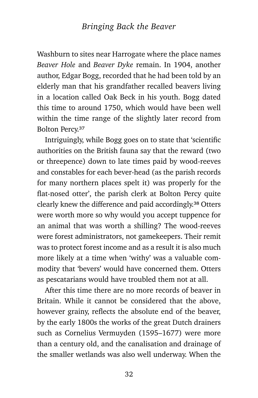Washburn to sites near Harrogate where the place names *Beaver Hole* and *Beaver Dyke* remain. In 1904, another author, Edgar Bogg, recorded that he had been told by an elderly man that his grandfather recalled beavers living in a location called Oak Beck in his youth. Bogg dated this time to around 1750, which would have been well within the time range of the slightly later record from Bolton Percy.<sup>37</sup>

Intriguingly, while Bogg goes on to state that 'scientific authorities on the British fauna say that the reward (two or threepence) down to late times paid by wood-reeves and constables for each bever-head (as the parish records for many northern places spelt it) was properly for the flat-nosed otter', the parish clerk at Bolton Percy quite clearly knew the difference and paid accordingly.<sup>38</sup> Otters were worth more so why would you accept tuppence for an animal that was worth a shilling? The wood-reeves were forest administrators, not gamekeepers. Their remit was to protect forest income and as a result it is also much more likely at a time when 'withy' was a valuable commodity that 'bevers' would have concerned them. Otters as pescatarians would have troubled them not at all.

After this time there are no more records of beaver in Britain. While it cannot be considered that the above, however grainy, reflects the absolute end of the beaver, by the early 1800s the works of the great Dutch drainers such as Cornelius Vermuyden (1595–1677) were more than a century old, and the canalisation and drainage of the smaller wetlands was also well underway. When the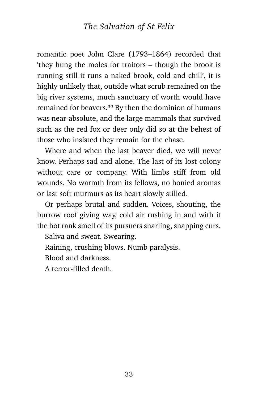romantic poet John Clare (1793–1864) recorded that 'they hung the moles for traitors – though the brook is running still it runs a naked brook, cold and chill', it is highly unlikely that, outside what scrub remained on the big river systems, much sanctuary of worth would have remained for beavers.<sup>39</sup> By then the dominion of humans was near-absolute, and the large mammals that survived such as the red fox or deer only did so at the behest of those who insisted they remain for the chase.

Where and when the last beaver died, we will never know. Perhaps sad and alone. The last of its lost colony without care or company. With limbs stiff from old wounds. No warmth from its fellows, no honied aromas or last soft murmurs as its heart slowly stilled.

Or perhaps brutal and sudden. Voices, shouting, the burrow roof giving way, cold air rushing in and with it the hot rank smell of its pursuers snarling, snapping curs.

Saliva and sweat. Swearing.

Raining, crushing blows. Numb paralysis.

Blood and darkness.

A terror-filled death